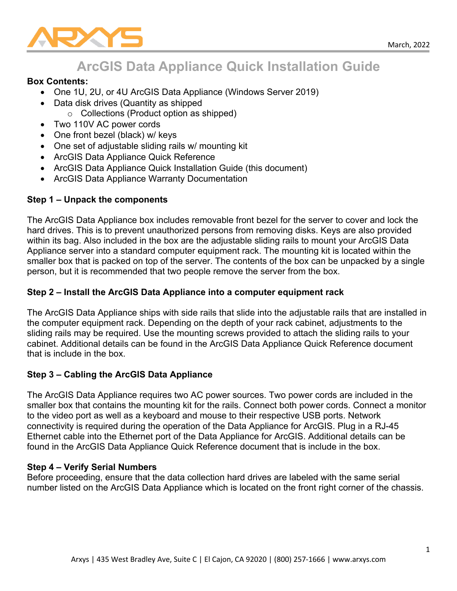

# **ArcGIS Data Appliance Quick Installation Guide**

#### **Box Contents:**

- One 1U, 2U, or 4U ArcGIS Data Appliance (Windows Server 2019)
- Data disk drives (Quantity as shipped
	- o Collections (Product option as shipped)
- Two 110V AC power cords
- One front bezel (black) w/ keys
- One set of adjustable sliding rails w/ mounting kit
- ArcGIS Data Appliance Quick Reference
- ArcGIS Data Appliance Quick Installation Guide (this document)
- ArcGIS Data Appliance Warranty Documentation

## **Step 1 – Unpack the components**

The ArcGIS Data Appliance box includes removable front bezel for the server to cover and lock the hard drives. This is to prevent unauthorized persons from removing disks. Keys are also provided within its bag. Also included in the box are the adjustable sliding rails to mount your ArcGIS Data Appliance server into a standard computer equipment rack. The mounting kit is located within the smaller box that is packed on top of the server. The contents of the box can be unpacked by a single person, but it is recommended that two people remove the server from the box.

## **Step 2 – Install the ArcGIS Data Appliance into a computer equipment rack**

The ArcGIS Data Appliance ships with side rails that slide into the adjustable rails that are installed in the computer equipment rack. Depending on the depth of your rack cabinet, adjustments to the sliding rails may be required. Use the mounting screws provided to attach the sliding rails to your cabinet. Additional details can be found in the ArcGIS Data Appliance Quick Reference document that is include in the box.

## **Step 3 – Cabling the ArcGIS Data Appliance**

The ArcGIS Data Appliance requires two AC power sources. Two power cords are included in the smaller box that contains the mounting kit for the rails. Connect both power cords. Connect a monitor to the video port as well as a keyboard and mouse to their respective USB ports. Network connectivity is required during the operation of the Data Appliance for ArcGIS. Plug in a RJ-45 Ethernet cable into the Ethernet port of the Data Appliance for ArcGIS. Additional details can be found in the ArcGIS Data Appliance Quick Reference document that is include in the box.

## **Step 4 – Verify Serial Numbers**

Before proceeding, ensure that the data collection hard drives are labeled with the same serial number listed on the ArcGIS Data Appliance which is located on the front right corner of the chassis.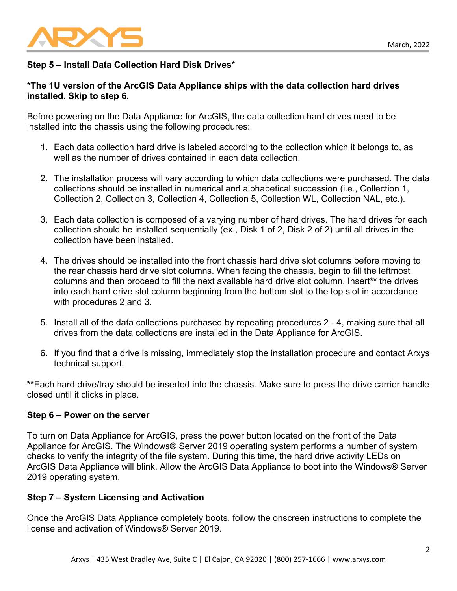

## **Step 5 – Install Data Collection Hard Disk Drives**\*

## \***The 1U version of the ArcGIS Data Appliance ships with the data collection hard drives installed. Skip to step 6.**

Before powering on the Data Appliance for ArcGIS, the data collection hard drives need to be installed into the chassis using the following procedures:

- 1. Each data collection hard drive is labeled according to the collection which it belongs to, as well as the number of drives contained in each data collection.
- 2. The installation process will vary according to which data collections were purchased. The data collections should be installed in numerical and alphabetical succession (i.e., Collection 1, Collection 2, Collection 3, Collection 4, Collection 5, Collection WL, Collection NAL, etc.).
- 3. Each data collection is composed of a varying number of hard drives. The hard drives for each collection should be installed sequentially (ex., Disk 1 of 2, Disk 2 of 2) until all drives in the collection have been installed.
- 4. The drives should be installed into the front chassis hard drive slot columns before moving to the rear chassis hard drive slot columns. When facing the chassis, begin to fill the leftmost columns and then proceed to fill the next available hard drive slot column. Insert**\*\*** the drives into each hard drive slot column beginning from the bottom slot to the top slot in accordance with procedures 2 and 3.
- 5. Install all of the data collections purchased by repeating procedures 2 4, making sure that all drives from the data collections are installed in the Data Appliance for ArcGIS.
- 6. If you find that a drive is missing, immediately stop the installation procedure and contact Arxys technical support.

**\*\***Each hard drive/tray should be inserted into the chassis. Make sure to press the drive carrier handle closed until it clicks in place.

## **Step 6 – Power on the server**

To turn on Data Appliance for ArcGIS, press the power button located on the front of the Data Appliance for ArcGIS. The Windows® Server 2019 operating system performs a number of system checks to verify the integrity of the file system. During this time, the hard drive activity LEDs on ArcGIS Data Appliance will blink. Allow the ArcGIS Data Appliance to boot into the Windows® Server 2019 operating system.

## **Step 7 – System Licensing and Activation**

Once the ArcGIS Data Appliance completely boots, follow the onscreen instructions to complete the license and activation of Windows® Server 2019.